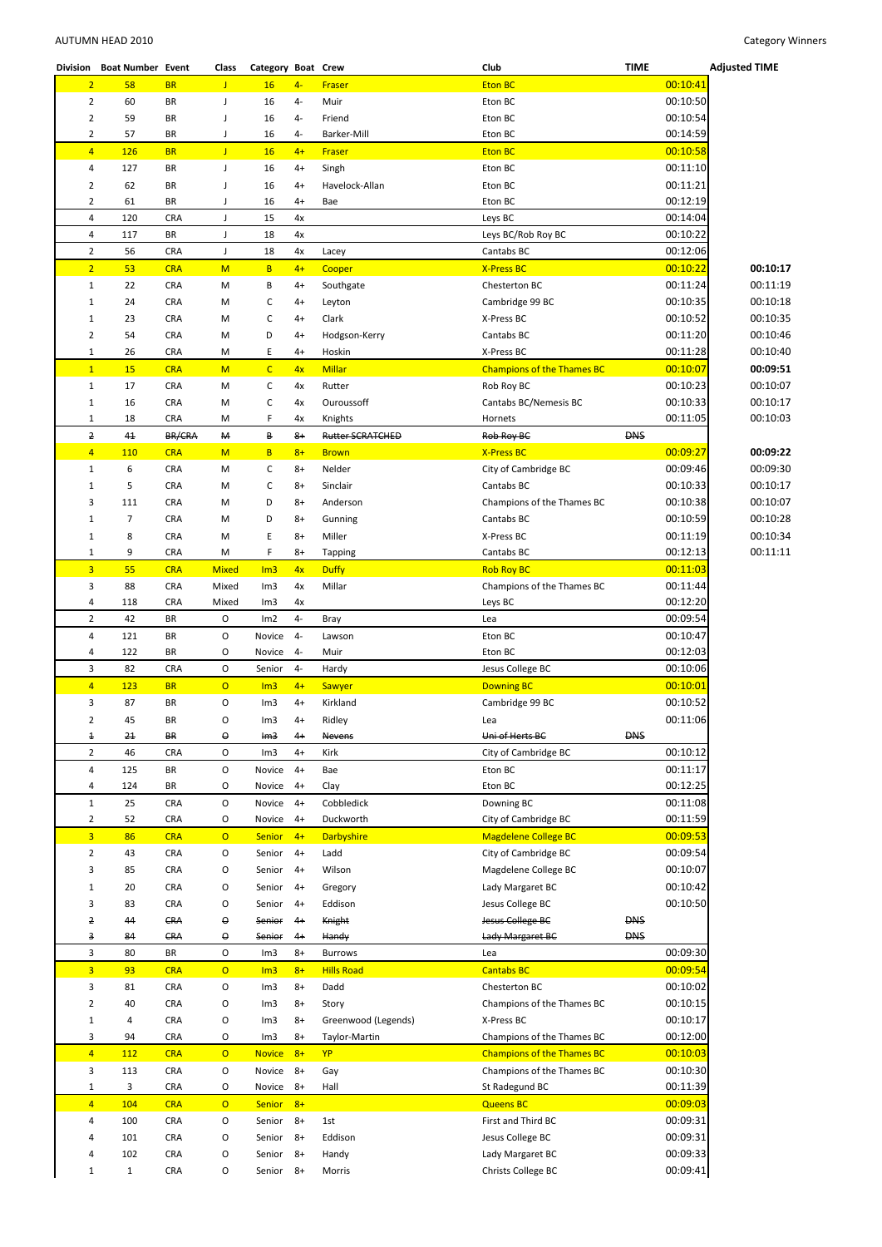| Division       | <b>Boat Number Event</b> |            | Class          | Category Boat Crew |      |                         | Club                              | <b>TIME</b> |          | <b>Adjusted TIME</b> |
|----------------|--------------------------|------------|----------------|--------------------|------|-------------------------|-----------------------------------|-------------|----------|----------------------|
| $\overline{2}$ | 58                       | <b>BR</b>  | J              | 16                 | $4-$ | <b>Fraser</b>           | <b>Eton BC</b>                    |             | 00:10:41 |                      |
| $\overline{2}$ | 60                       | BR         | J              | 16                 | 4-   | Muir                    | Eton BC                           |             | 00:10:50 |                      |
| $\overline{2}$ | 59                       | BR         | J              |                    | 4-   | Friend                  |                                   |             | 00:10:54 |                      |
|                |                          |            |                | 16                 |      |                         | Eton BC                           |             |          |                      |
| $\overline{2}$ | 57                       | BR         | J              | 16                 | 4-   | Barker-Mill             | Eton BC                           |             | 00:14:59 |                      |
| $\overline{4}$ | 126                      | <b>BR</b>  | J.             | 16                 | $4+$ | Fraser                  | <b>Eton BC</b>                    |             | 00:10:58 |                      |
| 4              | 127                      | <b>BR</b>  | $\mathsf J$    | 16                 | $4+$ | Singh                   | Eton BC                           |             | 00:11:10 |                      |
| $\overline{2}$ | 62                       | BR         | J              | 16                 | $4+$ | Havelock-Allan          | Eton BC                           |             | 00:11:21 |                      |
| $\overline{2}$ | 61                       | BR         | J              | 16                 | $4+$ | Bae                     | Eton BC                           |             | 00:12:19 |                      |
| $\overline{4}$ | 120                      | <b>CRA</b> | J              | 15                 | 4x   |                         | Leys BC                           |             | 00:14:04 |                      |
|                |                          |            |                |                    |      |                         |                                   |             |          |                      |
| 4              | 117                      | BR         | J              | 18                 | 4x   |                         | Leys BC/Rob Roy BC                |             | 00:10:22 |                      |
| $\overline{2}$ | 56                       | <b>CRA</b> | J              | 18                 | 4x   | Lacey                   | Cantabs BC                        |             | 00:12:06 |                      |
| $\overline{2}$ | 53                       | <b>CRA</b> | M              | B                  | $4+$ | Cooper                  | <b>X-Press BC</b>                 |             | 00:10:22 | 00:10:17             |
| $\mathbf{1}$   | 22                       | <b>CRA</b> | M              | В                  | $4+$ | Southgate               | Chesterton BC                     |             | 00:11:24 | 00:11:19             |
| $\mathbf{1}$   | 24                       | CRA        | M              | С                  | $4+$ | Leyton                  | Cambridge 99 BC                   |             | 00:10:35 | 00:10:18             |
| $1\,$          | 23                       | <b>CRA</b> | М              | С                  | $4+$ | Clark                   | X-Press BC                        |             | 00:10:52 | 00:10:35             |
|                |                          |            |                |                    |      |                         |                                   |             | 00:11:20 |                      |
| $\overline{2}$ | 54                       | <b>CRA</b> | M              | D                  | $4+$ | Hodgson-Kerry           | Cantabs BC                        |             |          | 00:10:46             |
| $\mathbf{1}$   | 26                       | <b>CRA</b> | M              | E.                 | $4+$ | Hoskin                  | X-Press BC                        |             | 00:11:28 | 00:10:40             |
| $\mathbf{1}$   | 15                       | <b>CRA</b> | M              | $\mathsf{C}$       | 4x   | <b>Millar</b>           | <b>Champions of the Thames BC</b> |             | 00:10:07 | 00:09:51             |
| $\mathbf{1}$   | 17                       | <b>CRA</b> | M              | С                  | 4x   | Rutter                  | Rob Roy BC                        |             | 00:10:23 | 00:10:07             |
| $1\,$          | 16                       | <b>CRA</b> | M              | С                  | 4x   | Ouroussoff              | Cantabs BC/Nemesis BC             |             | 00:10:33 | 00:10:17             |
| $\mathbf{1}$   | 18                       | <b>CRA</b> | M              | F                  | 4x   | Knights                 | Hornets                           |             | 00:11:05 | 00:10:03             |
|                | 41                       | BR/CRA     | M              | В                  | $8+$ | <b>Rutter SCRATCHED</b> |                                   | <b>DNS</b>  |          |                      |
| 2              |                          |            |                |                    |      |                         | Rob Roy BC                        |             |          |                      |
| $\overline{4}$ | 110                      | <b>CRA</b> | M              | B                  | $8+$ | <b>Brown</b>            | <b>X-Press BC</b>                 |             | 00:09:27 | 00:09:22             |
| $\mathbf{1}$   | 6                        | CRA        | M              | с                  | $8+$ | Nelder                  | City of Cambridge BC              |             | 00:09:46 | 00:09:30             |
| $\mathbf{1}$   | 5                        | <b>CRA</b> | M              | С                  | $8+$ | Sinclair                | Cantabs BC                        |             | 00:10:33 | 00:10:17             |
| 3              | 111                      | <b>CRA</b> | M              | D                  | $8+$ | Anderson                | Champions of the Thames BC        |             | 00:10:38 | 00:10:07             |
| $\mathbf{1}$   | $\overline{7}$           | <b>CRA</b> | M              | D                  | $8+$ | Gunning                 | Cantabs BC                        |             | 00:10:59 | 00:10:28             |
|                |                          |            |                |                    |      |                         |                                   |             |          |                      |
| $\mathbf{1}$   | 8                        | <b>CRA</b> | M              | E                  | $8+$ | Miller                  | X-Press BC                        |             | 00:11:19 | 00:10:34             |
| $\mathbf{1}$   | 9                        | <b>CRA</b> | M              | F                  | $8+$ | <b>Tapping</b>          | Cantabs BC                        |             | 00:12:13 | 00:11:11             |
| $\overline{3}$ | 55                       | <b>CRA</b> | <b>Mixed</b>   | Im3                | 4x   | <b>Duffy</b>            | <b>Rob Roy BC</b>                 |             | 00:11:03 |                      |
| 3              | 88                       | <b>CRA</b> | Mixed          | Im3                | 4x   | Millar                  | Champions of the Thames BC        |             | 00:11:44 |                      |
| 4              | 118                      | <b>CRA</b> | Mixed          | Im3                | 4x   |                         | Leys BC                           |             | 00:12:20 |                      |
| $\overline{2}$ | 42                       | BR         | O              | Im2                | $4-$ | Bray                    | Lea                               |             | 00:09:54 |                      |
| 4              | 121                      | <b>BR</b>  | O              | Novice             | $4-$ | Lawson                  | Eton BC                           |             | 00:10:47 |                      |
|                |                          |            |                |                    |      |                         |                                   |             |          |                      |
| 4              | 122                      | BR         | O              | Novice             | $4-$ | Muir                    | Eton BC                           |             | 00:12:03 |                      |
| 3              | 82                       | <b>CRA</b> | O              | Senior             | $4-$ | Hardy                   | Jesus College BC                  |             | 00:10:06 |                      |
| $\overline{4}$ | <b>123</b>               | <b>BR</b>  | $\overline{O}$ | Im3                | $4+$ | <b>Sawyer</b>           | <b>Downing BC</b>                 |             | 00:10:01 |                      |
| 3              | 87                       | BR         | O              | Im3                | $4+$ | Kirkland                | Cambridge 99 BC                   |             | 00:10:52 |                      |
| $\overline{2}$ | 45                       | BR         | O              | Im3                | $4+$ | Ridley                  | Lea                               |             | 00:11:06 |                      |
| $\ddagger$     | 21                       | BR         | 0              | Im <sub>3</sub>    | $4+$ | Nevens                  | Uni of Herts BC                   | <b>DNS</b>  |          |                      |
|                |                          |            |                |                    |      |                         |                                   |             |          |                      |
| $\overline{2}$ | 46                       | <b>CRA</b> | O              | Im3                | $4+$ | Kirk                    | City of Cambridge BC              |             | 00:10:12 |                      |
| 4              | 125                      | BR         | O              | Novice             | $4+$ | Bae                     | Eton BC                           |             | 00:11:17 |                      |
| 4              | 124                      | BR         | O              | Novice             | $4+$ | Clay                    | Eton BC                           |             | 00:12:25 |                      |
| $\mathbf{1}$   | 25                       | <b>CRA</b> | $\mathsf O$    | Novice             | $4+$ | Cobbledick              | Downing BC                        |             | 00:11:08 |                      |
| $\overline{2}$ | 52                       | <b>CRA</b> | O              | Novice             | $4+$ | Duckworth               | City of Cambridge BC              |             | 00:11:59 |                      |
| $\overline{3}$ | 86                       | <b>CRA</b> | $\overline{O}$ | <b>Senior</b>      | $4+$ | <b>Darbyshire</b>       | <b>Magdelene College BC</b>       |             | 00:09:53 |                      |
|                |                          |            |                |                    |      |                         | City of Cambridge BC              |             |          |                      |
| $\overline{2}$ | 43                       | CRA        | O              | Senior             | $4+$ | Ladd                    |                                   |             | 00:09:54 |                      |
| 3              | 85                       | <b>CRA</b> | O              | Senior             | $4+$ | Wilson                  | Magdelene College BC              |             | 00:10:07 |                      |
| $\mathbf{1}$   | 20                       | <b>CRA</b> | O              | Senior             | $4+$ | Gregory                 | Lady Margaret BC                  |             | 00:10:42 |                      |
| 3              | 83                       | <b>CRA</b> | O              | Senior             | $4+$ | Eddison                 | Jesus College BC                  |             | 00:10:50 |                      |
| 2              | 44                       | CRA        | 0              | Senior             | $4+$ | Knight                  | Jesus College BC                  | <b>DNS</b>  |          |                      |
| 3              | 84                       | CRA        | 0              | Senior             | $4+$ | Handy                   | Lady Margaret BC                  | <b>DNS</b>  |          |                      |
|                |                          |            |                |                    |      |                         |                                   |             |          |                      |
| 3              | 80                       | BR         | O              | Im3                | $8+$ | <b>Burrows</b>          | Lea                               |             | 00:09:30 |                      |
| $\overline{3}$ | 93                       | <b>CRA</b> | $\overline{O}$ | Im3                | $8+$ | <b>Hills Road</b>       | <b>Cantabs BC</b>                 |             | 00:09:54 |                      |
| 3              | 81                       | CRA        | O              | Im3                | $8+$ | Dadd                    | Chesterton BC                     |             | 00:10:02 |                      |
| $\overline{2}$ | 40                       | <b>CRA</b> | O              | Im3                | $8+$ | Story                   | Champions of the Thames BC        |             | 00:10:15 |                      |
| $1\,$          | 4                        | <b>CRA</b> | O              | Im3                | $8+$ | Greenwood (Legends)     | X-Press BC                        |             | 00:10:17 |                      |
| 3              | 94                       | <b>CRA</b> | O              | Im3                | $8+$ | Taylor-Martin           | Champions of the Thames BC        |             | 00:12:00 |                      |
|                |                          |            |                |                    |      |                         |                                   |             |          |                      |
| $\overline{4}$ | 112                      | <b>CRA</b> | $\overline{O}$ | <b>Novice</b>      | $8+$ | YP                      | <b>Champions of the Thames BC</b> |             | 00:10:03 |                      |
| 3              | 113                      | <b>CRA</b> | O              | Novice             | $8+$ | Gay                     | Champions of the Thames BC        |             | 00:10:30 |                      |
| $1\,$          | 3                        | <b>CRA</b> | O              | Novice             | $8+$ | Hall                    | St Radegund BC                    |             | 00:11:39 |                      |
| 4              | 104                      | <b>CRA</b> | $\overline{O}$ | <b>Senior</b>      | $8+$ |                         | <b>Queens BC</b>                  |             | 00:09:03 |                      |
| 4              | 100                      | CRA        | O              | Senior             | $8+$ | 1st                     | First and Third BC                |             | 00:09:31 |                      |
| 4              | 101                      | CRA        | O              | Senior             | $8+$ | Eddison                 | Jesus College BC                  |             | 00:09:31 |                      |
|                |                          |            |                |                    |      |                         |                                   |             |          |                      |
| 4              | 102                      | <b>CRA</b> | O              | Senior             | $8+$ | Handy                   | Lady Margaret BC                  |             | 00:09:33 |                      |
| $1\,$          | $\mathbf{1}$             | CRA        | O              | Senior             | $8+$ | Morris                  | Christs College BC                |             | 00:09:41 |                      |